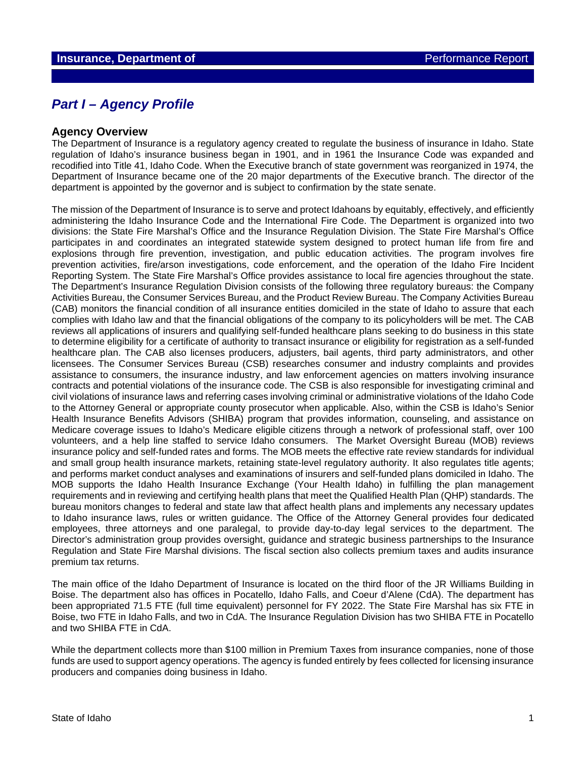## *Part I – Agency Profile*

#### **Agency Overview**

The Department of Insurance is a regulatory agency created to regulate the business of insurance in Idaho. State regulation of Idaho's insurance business began in 1901, and in 1961 the Insurance Code was expanded and recodified into Title 41, Idaho Code. When the Executive branch of state government was reorganized in 1974, the Department of Insurance became one of the 20 major departments of the Executive branch. The director of the department is appointed by the governor and is subject to confirmation by the state senate.

The mission of the Department of Insurance is to serve and protect Idahoans by equitably, effectively, and efficiently administering the Idaho Insurance Code and the International Fire Code. The Department is organized into two divisions: the State Fire Marshal's Office and the Insurance Regulation Division. The State Fire Marshal's Office participates in and coordinates an integrated statewide system designed to protect human life from fire and explosions through fire prevention, investigation, and public education activities. The program involves fire prevention activities, fire/arson investigations, code enforcement, and the operation of the Idaho Fire Incident Reporting System. The State Fire Marshal's Office provides assistance to local fire agencies throughout the state. The Department's Insurance Regulation Division consists of the following three regulatory bureaus: the Company Activities Bureau, the Consumer Services Bureau, and the Product Review Bureau. The Company Activities Bureau (CAB) monitors the financial condition of all insurance entities domiciled in the state of Idaho to assure that each complies with Idaho law and that the financial obligations of the company to its policyholders will be met. The CAB reviews all applications of insurers and qualifying self-funded healthcare plans seeking to do business in this state to determine eligibility for a certificate of authority to transact insurance or eligibility for registration as a self-funded healthcare plan. The CAB also licenses producers, adjusters, bail agents, third party administrators, and other licensees. The Consumer Services Bureau (CSB) researches consumer and industry complaints and provides assistance to consumers, the insurance industry, and law enforcement agencies on matters involving insurance contracts and potential violations of the insurance code. The CSB is also responsible for investigating criminal and civil violations of insurance laws and referring cases involving criminal or administrative violations of the Idaho Code to the Attorney General or appropriate county prosecutor when applicable. Also, within the CSB is Idaho's Senior Health Insurance Benefits Advisors (SHIBA) program that provides information, counseling, and assistance on Medicare coverage issues to Idaho's Medicare eligible citizens through a network of professional staff, over 100 volunteers, and a help line staffed to service Idaho consumers. The Market Oversight Bureau (MOB) reviews insurance policy and self-funded rates and forms. The MOB meets the effective rate review standards for individual and small group health insurance markets, retaining state-level regulatory authority. It also regulates title agents; and performs market conduct analyses and examinations of insurers and self-funded plans domiciled in Idaho. The MOB supports the Idaho Health Insurance Exchange (Your Health Idaho) in fulfilling the plan management requirements and in reviewing and certifying health plans that meet the Qualified Health Plan (QHP) standards. The bureau monitors changes to federal and state law that affect health plans and implements any necessary updates to Idaho insurance laws, rules or written guidance. The Office of the Attorney General provides four dedicated employees, three attorneys and one paralegal, to provide day-to-day legal services to the department. The Director's administration group provides oversight, guidance and strategic business partnerships to the Insurance Regulation and State Fire Marshal divisions. The fiscal section also collects premium taxes and audits insurance premium tax returns.

The main office of the Idaho Department of Insurance is located on the third floor of the JR Williams Building in Boise. The department also has offices in Pocatello, Idaho Falls, and Coeur d'Alene (CdA). The department has been appropriated 71.5 FTE (full time equivalent) personnel for FY 2022. The State Fire Marshal has six FTE in Boise, two FTE in Idaho Falls, and two in CdA. The Insurance Regulation Division has two SHIBA FTE in Pocatello and two SHIBA FTE in CdA.

While the department collects more than \$100 million in Premium Taxes from insurance companies, none of those funds are used to support agency operations. The agency is funded entirely by fees collected for licensing insurance producers and companies doing business in Idaho.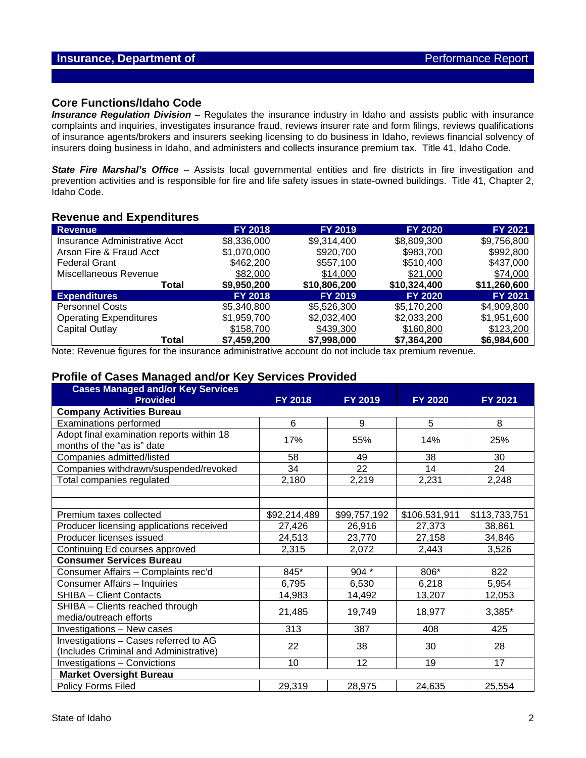#### **Core Functions/Idaho Code**

*Insurance Regulation Division* – Regulates the insurance industry in Idaho and assists public with insurance complaints and inquiries, investigates insurance fraud, reviews insurer rate and form filings, reviews qualifications of insurance agents/brokers and insurers seeking licensing to do business in Idaho, reviews financial solvency of insurers doing business in Idaho, and administers and collects insurance premium tax. Title 41, Idaho Code.

**State Fire Marshal's Office** – Assists local governmental entities and fire districts in fire investigation and prevention activities and is responsible for fire and life safety issues in state-owned buildings. Title 41, Chapter 2, Idaho Code.

#### **Revenue and Expenditures**

| <b>Revenue</b>                | <b>FY 2018</b> | <b>FY 2019</b> | <b>FY 2020</b> | <b>FY 2021</b> |
|-------------------------------|----------------|----------------|----------------|----------------|
| Insurance Administrative Acct | \$8,336,000    | \$9,314,400    | \$8,809,300    | \$9,756,800    |
| Arson Fire & Fraud Acct       | \$1,070,000    | \$920,700      | \$983,700      | \$992,800      |
| <b>Federal Grant</b>          | \$462,200      | \$557,100      | \$510,400      | \$437,000      |
| Miscellaneous Revenue         | \$82,000       | \$14,000       | \$21,000       | \$74,000       |
| Total                         | \$9,950,200    | \$10,806,200   | \$10,324,400   | \$11,260,600   |
| <b>Expenditures</b>           | <b>FY 2018</b> | <b>FY 2019</b> | <b>FY 2020</b> | <b>FY 2021</b> |
| <b>Personnel Costs</b>        | \$5,340,800    | \$5,526,300    | \$5,170,200    | \$4,909,800    |
| <b>Operating Expenditures</b> | \$1,959,700    | \$2,032,400    | \$2,033,200    | \$1,951,600    |
| Capital Outlay                | \$158,700      | \$439,300      | \$160,800      | \$123,200      |
| Total                         | \$7,459,200    | \$7,998,000    | \$7,364,200    | \$6,984,600    |

Note: Revenue figures for the insurance administrative account do not include tax premium revenue.

#### **Profile of Cases Managed and/or Key Services Provided**

| <b>Cases Managed and/or Key Services</b><br><b>Provided</b>                     | FY 2018      | FY 2019      | <b>FY 2020</b> | FY 2021       |
|---------------------------------------------------------------------------------|--------------|--------------|----------------|---------------|
| <b>Company Activities Bureau</b>                                                |              |              |                |               |
| <b>Examinations performed</b>                                                   | 6            | 9            | 5              | 8             |
| Adopt final examination reports within 18<br>months of the "as is" date         | 17%          | 55%          | 14%            | 25%           |
| Companies admitted/listed                                                       | 58           | 49           | 38             | 30            |
| Companies withdrawn/suspended/revoked                                           | 34           | 22           | 14             | 24            |
| Total companies regulated                                                       | 2,180        | 2,219        | 2,231          | 2,248         |
|                                                                                 |              |              |                |               |
|                                                                                 |              |              |                |               |
| Premium taxes collected                                                         | \$92,214,489 | \$99,757,192 | \$106,531,911  | \$113,733,751 |
| Producer licensing applications received                                        | 27,426       | 26,916       | 27,373         | 38,861        |
| Producer licenses issued                                                        | 24,513       | 23,770       | 27,158         | 34,846        |
| Continuing Ed courses approved                                                  | 2,315        | 2,072        | 2,443          | 3,526         |
| <b>Consumer Services Bureau</b>                                                 |              |              |                |               |
| Consumer Affairs - Complaints rec'd                                             | 845*         | $904*$       | 806*           | 822           |
| Consumer Affairs - Inquiries                                                    | 6,795        | 6,530        | 6,218          | 5,954         |
| <b>SHIBA - Client Contacts</b>                                                  | 14,983       | 14,492       | 13,207         | 12,053        |
| SHIBA - Clients reached through<br>media/outreach efforts                       | 21,485       | 19,749       | 18,977         | 3,385*        |
| Investigations - New cases                                                      | 313          | 387          | 408            | 425           |
| Investigations - Cases referred to AG<br>(Includes Criminal and Administrative) | 22           | 38           | 30             | 28            |
| Investigations - Convictions                                                    | 10           | 12           | 19             | 17            |
| <b>Market Oversight Bureau</b>                                                  |              |              |                |               |
| Policy Forms Filed                                                              | 29,319       | 28,975       | 24,635         | 25,554        |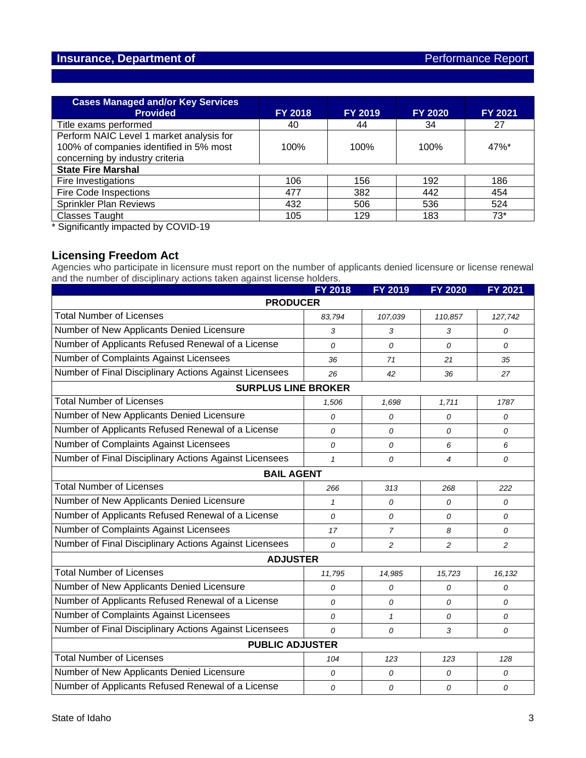| <b>Cases Managed and/or Key Services</b><br><b>Provided</b>                                                            | <b>FY 2018</b> | <b>FY 2019</b> | <b>FY 2020</b> | FY 2021             |  |  |
|------------------------------------------------------------------------------------------------------------------------|----------------|----------------|----------------|---------------------|--|--|
| Title exams performed                                                                                                  | 40             | 44             | 34             | 27                  |  |  |
| Perform NAIC Level 1 market analysis for<br>100% of companies identified in 5% most<br>concerning by industry criteria | 100%           | 100%           | 100%           | $47\%$ <sup>*</sup> |  |  |
| <b>State Fire Marshal</b>                                                                                              |                |                |                |                     |  |  |
| Fire Investigations                                                                                                    | 106            | 156            | 192            | 186                 |  |  |
| <b>Fire Code Inspections</b>                                                                                           | 477            | 382            | 442            | 454                 |  |  |
| Sprinkler Plan Reviews                                                                                                 | 432            | 506            | 536            | 524                 |  |  |
| <b>Classes Taught</b>                                                                                                  | 105            | 129            | 183            | $73*$               |  |  |

\* Significantly impacted by COVID-19

#### **Licensing Freedom Act**

Agencies who participate in licensure must report on the number of applicants denied licensure or license renewal and the number of disciplinary actions taken against license holders.

|                                                        | <b>FY 2018</b> | <b>FY 2019</b> | <b>FY 2020</b>           | <b>FY 2021</b> |  |  |  |
|--------------------------------------------------------|----------------|----------------|--------------------------|----------------|--|--|--|
| <b>PRODUCER</b>                                        |                |                |                          |                |  |  |  |
| <b>Total Number of Licenses</b>                        | 83,794         | 107,039        | 110,857                  | 127,742        |  |  |  |
| Number of New Applicants Denied Licensure              | 3              | 3              | 3                        | $\mathcal{O}$  |  |  |  |
| Number of Applicants Refused Renewal of a License      | 0              | 0              | 0                        | 0              |  |  |  |
| Number of Complaints Against Licensees                 | 36             | 71             | 21                       | 35             |  |  |  |
| Number of Final Disciplinary Actions Against Licensees | 26             | 42             | 36                       | 27             |  |  |  |
| <b>SURPLUS LINE BROKER</b>                             |                |                |                          |                |  |  |  |
| <b>Total Number of Licenses</b>                        | 1,506          | 1,698          | 1,711                    | 1787           |  |  |  |
| Number of New Applicants Denied Licensure              | 0              | 0              | 0                        | 0              |  |  |  |
| Number of Applicants Refused Renewal of a License      | $\mathcal{O}$  | 0              | 0                        | $\mathcal{O}$  |  |  |  |
| Number of Complaints Against Licensees                 | 0              | 0              | 6                        | 6              |  |  |  |
| Number of Final Disciplinary Actions Against Licensees | $\mathbf{1}$   | $\mathcal{O}$  | $\overline{\mathcal{A}}$ | $\mathcal{O}$  |  |  |  |
| <b>BAIL AGENT</b>                                      |                |                |                          |                |  |  |  |
| <b>Total Number of Licenses</b>                        | 266            | 313            | 268                      | 222            |  |  |  |
| Number of New Applicants Denied Licensure              | $\mathbf{1}$   | $\Omega$       | 0                        | 0              |  |  |  |
| Number of Applicants Refused Renewal of a License      | $\mathcal{O}$  | 0              | 0                        | 0              |  |  |  |
| Number of Complaints Against Licensees                 | 17             | $\overline{7}$ | 8                        | $\mathcal{O}$  |  |  |  |
| Number of Final Disciplinary Actions Against Licensees | $\overline{O}$ | 2              | $\overline{c}$           | 2              |  |  |  |
| <b>ADJUSTER</b>                                        |                |                |                          |                |  |  |  |
| <b>Total Number of Licenses</b>                        | 11,795         | 14,985         | 15,723                   | 16,132         |  |  |  |
| Number of New Applicants Denied Licensure              | 0              | 0              | 0                        | 0              |  |  |  |
| Number of Applicants Refused Renewal of a License      | $\mathcal{O}$  | $\mathcal{O}$  | $\Omega$                 | 0              |  |  |  |
| Number of Complaints Against Licensees                 | 0              | $\mathbf{1}$   | 0                        | 0              |  |  |  |
| Number of Final Disciplinary Actions Against Licensees | $\overline{O}$ | 0              | 3                        | 0              |  |  |  |
| <b>PUBLIC ADJUSTER</b>                                 |                |                |                          |                |  |  |  |
| <b>Total Number of Licenses</b>                        | 104            | 123            | 123                      | 128            |  |  |  |
| Number of New Applicants Denied Licensure              | 0              | 0              | 0                        | 0              |  |  |  |
| Number of Applicants Refused Renewal of a License      | 0              | 0              | 0                        | 0              |  |  |  |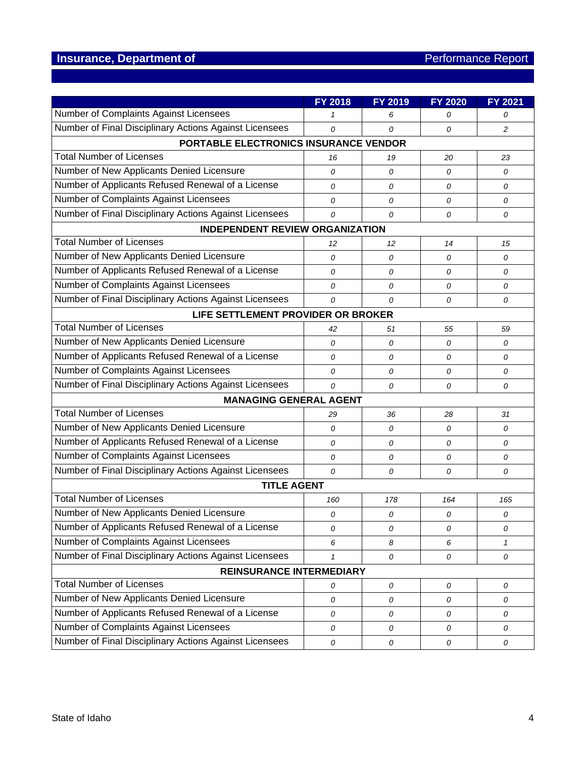|                                                        | <b>FY 2018</b> | FY 2019 | <b>FY 2020</b> | FY 2021        |
|--------------------------------------------------------|----------------|---------|----------------|----------------|
| Number of Complaints Against Licensees                 | 1              | 6       | 0              | 0              |
| Number of Final Disciplinary Actions Against Licensees | 0              | 0       | 0              | $\overline{c}$ |
| PORTABLE ELECTRONICS INSURANCE VENDOR                  |                |         |                |                |
| <b>Total Number of Licenses</b>                        | 16             | 19      | 20             | 23             |
| Number of New Applicants Denied Licensure              | $\overline{O}$ | 0       | $\overline{O}$ | 0              |
| Number of Applicants Refused Renewal of a License      | 0              | 0       | 0              | 0              |
| Number of Complaints Against Licensees                 | 0              | 0       | 0              | 0              |
| Number of Final Disciplinary Actions Against Licensees | 0              | 0       | $\overline{O}$ | 0              |
| <b>INDEPENDENT REVIEW ORGANIZATION</b>                 |                |         |                |                |
| <b>Total Number of Licenses</b>                        | 12             | 12      | 14             | 15             |
| Number of New Applicants Denied Licensure              | 0              | 0       | 0              | 0              |
| Number of Applicants Refused Renewal of a License      | 0              | 0       | $\overline{O}$ | 0              |
| Number of Complaints Against Licensees                 | 0              | 0       | 0              | 0              |
| Number of Final Disciplinary Actions Against Licensees | 0              | 0       | $\overline{O}$ | 0              |
| LIFE SETTLEMENT PROVIDER OR BROKER                     |                |         |                |                |
| <b>Total Number of Licenses</b>                        | 42             | 51      | 55             | 59             |
| Number of New Applicants Denied Licensure              | 0              | 0       | 0              | 0              |
| Number of Applicants Refused Renewal of a License      | 0              | 0       | $\overline{O}$ | 0              |
| Number of Complaints Against Licensees                 | 0              | 0       | 0              | 0              |
| Number of Final Disciplinary Actions Against Licensees | $\overline{O}$ | 0       | $\overline{O}$ | 0              |
| <b>MANAGING GENERAL AGENT</b>                          |                |         |                |                |
| <b>Total Number of Licenses</b>                        | 29             | 36      | 28             | 31             |
| Number of New Applicants Denied Licensure              | 0              | 0       | 0              | 0              |
| Number of Applicants Refused Renewal of a License      | 0              | 0       | 0              | 0              |
| Number of Complaints Against Licensees                 | 0              | 0       | 0              | 0              |
| Number of Final Disciplinary Actions Against Licensees | $\overline{O}$ | 0       | 0              | 0              |
| <b>TITLE AGENT</b>                                     |                |         |                |                |
| <b>Total Number of Licenses</b>                        | 160            | 178     | 164            | 165            |
| Number of New Applicants Denied Licensure              | 0              | 0       | 0              | 0              |
| Number of Applicants Refused Renewal of a License      | 0              | 0       | 0              | 0              |
| Number of Complaints Against Licensees                 | 6              | 8       | 6              | 1              |
| Number of Final Disciplinary Actions Against Licensees | $\mathbf{1}$   | 0       | 0              | 0              |
| <b>REINSURANCE INTERMEDIARY</b>                        |                |         |                |                |
| <b>Total Number of Licenses</b>                        | 0              | 0       | 0              | 0              |
| Number of New Applicants Denied Licensure              | 0              | 0       | 0              | 0              |
| Number of Applicants Refused Renewal of a License      | 0              | 0       | 0              | 0              |
| Number of Complaints Against Licensees                 | ${\cal O}$     | 0       | 0              | 0              |
| Number of Final Disciplinary Actions Against Licensees | ${\cal O}$     | 0       | 0              | 0              |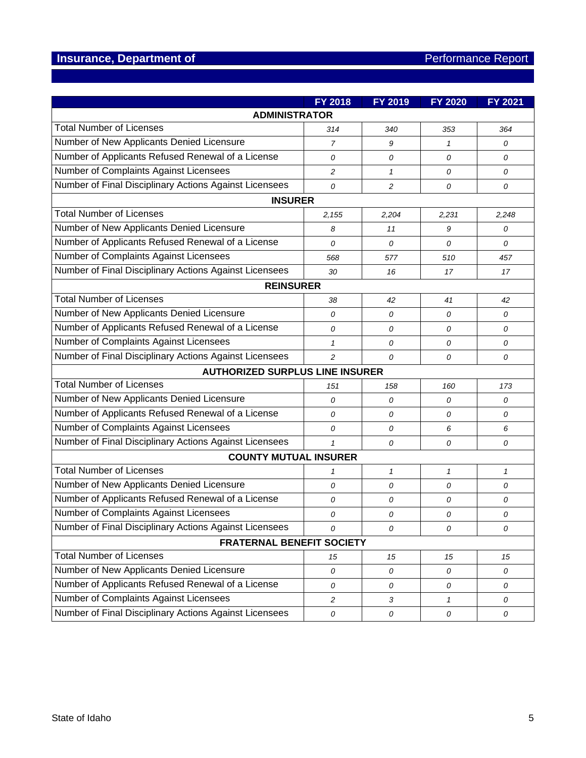|                                                        | FY 2018        | <b>FY 2019</b> | <b>FY 2020</b> | <b>FY 2021</b> |  |  |  |
|--------------------------------------------------------|----------------|----------------|----------------|----------------|--|--|--|
| <b>ADMINISTRATOR</b>                                   |                |                |                |                |  |  |  |
| <b>Total Number of Licenses</b>                        | 314            | 340            | 353            | 364            |  |  |  |
| Number of New Applicants Denied Licensure              | 7              | 9              | $\mathcal I$   | 0              |  |  |  |
| Number of Applicants Refused Renewal of a License      | 0              | 0              | 0              | 0              |  |  |  |
| Number of Complaints Against Licensees                 | $\overline{c}$ | $\mathcal I$   | 0              | 0              |  |  |  |
| Number of Final Disciplinary Actions Against Licensees | $\overline{O}$ | 2              | 0              | 0              |  |  |  |
| <b>INSURER</b>                                         |                |                |                |                |  |  |  |
| <b>Total Number of Licenses</b>                        | 2,155          | 2,204          | 2,231          | 2,248          |  |  |  |
| Number of New Applicants Denied Licensure              | 8              | 11             | 9              | 0              |  |  |  |
| Number of Applicants Refused Renewal of a License      | 0              | 0              | 0              | 0              |  |  |  |
| Number of Complaints Against Licensees                 | 568            | 577            | 510            | 457            |  |  |  |
| Number of Final Disciplinary Actions Against Licensees | 30             | 16             | 17             | 17             |  |  |  |
| <b>REINSURER</b>                                       |                |                |                |                |  |  |  |
| <b>Total Number of Licenses</b>                        | 38             | 42             | 41             | 42             |  |  |  |
| Number of New Applicants Denied Licensure              | 0              | $\overline{O}$ | 0              | 0              |  |  |  |
| Number of Applicants Refused Renewal of a License      | 0              | 0              | 0              | 0              |  |  |  |
| Number of Complaints Against Licensees                 | $\mathbf{1}$   | 0              | 0              | 0              |  |  |  |
| Number of Final Disciplinary Actions Against Licensees | $\overline{c}$ | 0              | 0              | 0              |  |  |  |
| <b>AUTHORIZED SURPLUS LINE INSURER</b>                 |                |                |                |                |  |  |  |
| <b>Total Number of Licenses</b>                        | 151            | 158            | 160            | 173            |  |  |  |
| Number of New Applicants Denied Licensure              | $\mathcal{O}$  | 0              | 0              | 0              |  |  |  |
| Number of Applicants Refused Renewal of a License      | 0              | 0              | 0              | 0              |  |  |  |
| Number of Complaints Against Licensees                 | 0              | 0              | 6              | 6              |  |  |  |
| Number of Final Disciplinary Actions Against Licensees | $\mathbf{1}$   | 0              | 0              | 0              |  |  |  |
| <b>COUNTY MUTUAL INSURER</b>                           |                |                |                |                |  |  |  |
| <b>Total Number of Licenses</b>                        | 1              | 1              | $\mathbf{1}$   | $\mathbf{1}$   |  |  |  |
| Number of New Applicants Denied Licensure              | 0              | 0              | 0              | 0              |  |  |  |
| Number of Applicants Refused Renewal of a License      | 0              | 0              | 0              | 0              |  |  |  |
| Number of Complaints Against Licensees                 | 0              | 0              | 0              | 0              |  |  |  |
| Number of Final Disciplinary Actions Against Licensees | 0              | 0              | 0              | 0              |  |  |  |
| <b>FRATERNAL BENEFIT SOCIETY</b>                       |                |                |                |                |  |  |  |
| <b>Total Number of Licenses</b>                        | 15             | 15             | 15             | 15             |  |  |  |
| Number of New Applicants Denied Licensure              | 0              | 0              | 0              | 0              |  |  |  |
| Number of Applicants Refused Renewal of a License      | 0              | 0              | 0              | 0              |  |  |  |
| Number of Complaints Against Licensees                 | $\overline{2}$ | 3              | $\mathcal{I}$  | 0              |  |  |  |
| Number of Final Disciplinary Actions Against Licensees | 0              | 0              | 0              | 0              |  |  |  |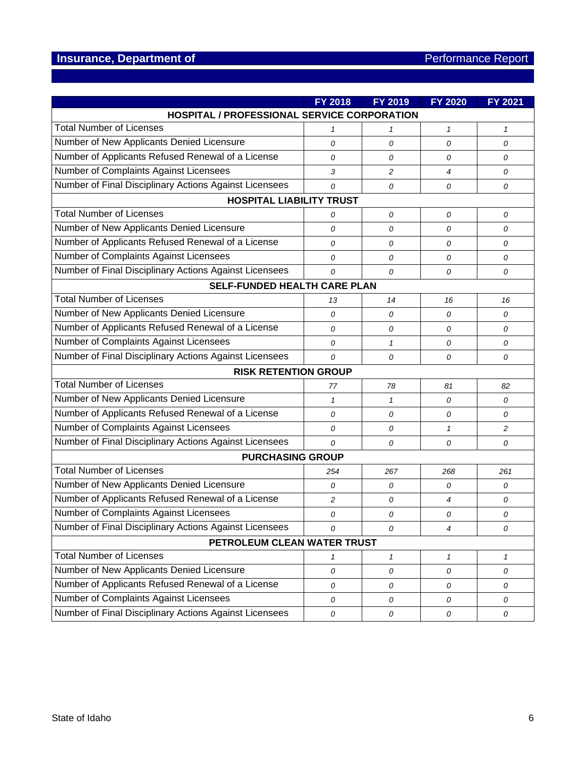|                                                        | <b>FY 2018</b> | FY 2019      | <b>FY 2020</b> | <b>FY 2021</b> |  |  |
|--------------------------------------------------------|----------------|--------------|----------------|----------------|--|--|
| HOSPITAL / PROFESSIONAL SERVICE CORPORATION            |                |              |                |                |  |  |
| <b>Total Number of Licenses</b>                        | 1              | 1            | $\mathcal I$   | $\mathbf{1}$   |  |  |
| Number of New Applicants Denied Licensure              | 0              | 0            | 0              | 0              |  |  |
| Number of Applicants Refused Renewal of a License      | $\overline{O}$ | 0            | 0              | 0              |  |  |
| Number of Complaints Against Licensees                 | 3              | 2            | $\overline{4}$ | 0              |  |  |
| Number of Final Disciplinary Actions Against Licensees | $\mathcal{O}$  | 0            | 0              | 0              |  |  |
| <b>HOSPITAL LIABILITY TRUST</b>                        |                |              |                |                |  |  |
| <b>Total Number of Licenses</b>                        | 0              | 0            | 0              | 0              |  |  |
| Number of New Applicants Denied Licensure              | 0              | 0            | 0              | 0              |  |  |
| Number of Applicants Refused Renewal of a License      | 0              | 0            | 0              | 0              |  |  |
| Number of Complaints Against Licensees                 | $\overline{O}$ | 0            | 0              | 0              |  |  |
| Number of Final Disciplinary Actions Against Licensees | $\mathcal{O}$  | 0            | 0              | 0              |  |  |
| <b>SELF-FUNDED HEALTH CARE PLAN</b>                    |                |              |                |                |  |  |
| <b>Total Number of Licenses</b>                        | 13             | 14           | 16             | 16             |  |  |
| Number of New Applicants Denied Licensure              | $\overline{O}$ | 0            | 0              | 0              |  |  |
| Number of Applicants Refused Renewal of a License      | 0              | 0            | 0              | 0              |  |  |
| Number of Complaints Against Licensees                 | 0              | $\mathbf{1}$ | 0              | 0              |  |  |
| Number of Final Disciplinary Actions Against Licensees | 0              | 0            | 0              | 0              |  |  |
| <b>RISK RETENTION GROUP</b>                            |                |              |                |                |  |  |
| <b>Total Number of Licenses</b>                        | 77             | 78           | 81             | 82             |  |  |
| Number of New Applicants Denied Licensure              | $\mathbf{1}$   | $\mathbf{1}$ | 0              | 0              |  |  |
| Number of Applicants Refused Renewal of a License      | 0              | 0            | 0              | 0              |  |  |
| Number of Complaints Against Licensees                 | 0              | 0            | $\mathbf{1}$   | 2              |  |  |
| Number of Final Disciplinary Actions Against Licensees | $\overline{O}$ | 0            | 0              | 0              |  |  |
| <b>PURCHASING GROUP</b>                                |                |              |                |                |  |  |
| <b>Total Number of Licenses</b>                        | 254            | 267          | 268            | 261            |  |  |
| Number of New Applicants Denied Licensure              | 0              | 0            | 0              | 0              |  |  |
| Number of Applicants Refused Renewal of a License      | 2              | 0            | 4              | 0              |  |  |
| Number of Complaints Against Licensees                 | 0              | 0            | 0              | 0              |  |  |
| Number of Final Disciplinary Actions Against Licensees | 0              | 0            | 4              | 0              |  |  |
| PETROLEUM CLEAN WATER TRUST                            |                |              |                |                |  |  |
| <b>Total Number of Licenses</b>                        | 1              | 1            | $\mathbf{1}$   | 1              |  |  |
| Number of New Applicants Denied Licensure              | 0              | 0            | 0              | 0              |  |  |
| Number of Applicants Refused Renewal of a License      | 0              | 0            | 0              | 0              |  |  |
| Number of Complaints Against Licensees                 | 0              | 0            | 0              | 0              |  |  |
| Number of Final Disciplinary Actions Against Licensees | 0              | 0            | 0              | 0              |  |  |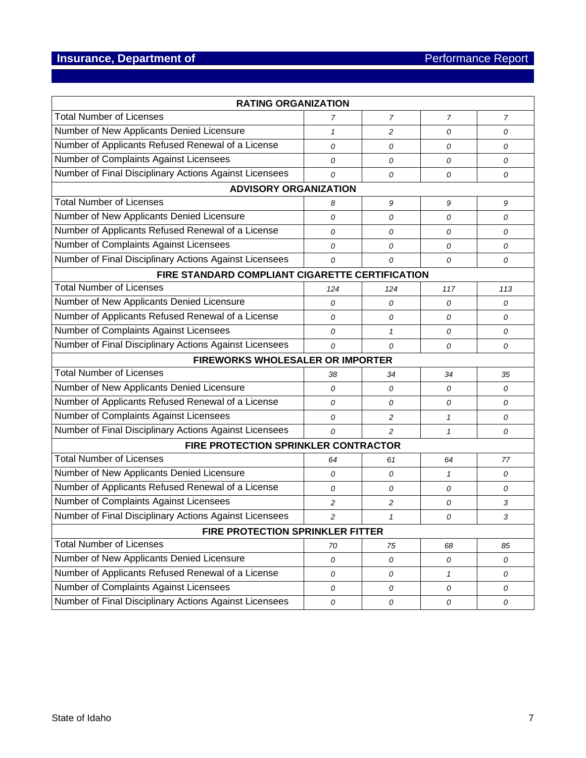| <b>RATING ORGANIZATION</b>                             |                |              |              |     |  |
|--------------------------------------------------------|----------------|--------------|--------------|-----|--|
| <b>Total Number of Licenses</b>                        | 7              | 7            | 7            | 7   |  |
| Number of New Applicants Denied Licensure              | $\mathbf{1}$   | 2            | 0            | 0   |  |
| Number of Applicants Refused Renewal of a License      | $\overline{O}$ | 0            | 0            | 0   |  |
| Number of Complaints Against Licensees                 | 0              | 0            | 0            | 0   |  |
| Number of Final Disciplinary Actions Against Licensees | 0              | 0            | 0            | 0   |  |
| <b>ADVISORY ORGANIZATION</b>                           |                |              |              |     |  |
| <b>Total Number of Licenses</b>                        | 8              | 9            | 9            | 9   |  |
| Number of New Applicants Denied Licensure              | 0              | 0            | 0            | 0   |  |
| Number of Applicants Refused Renewal of a License      | 0              | 0            | 0            | 0   |  |
| Number of Complaints Against Licensees                 | 0              | 0            | 0            | 0   |  |
| Number of Final Disciplinary Actions Against Licensees | 0              | 0            | 0            | 0   |  |
| FIRE STANDARD COMPLIANT CIGARETTE CERTIFICATION        |                |              |              |     |  |
| <b>Total Number of Licenses</b>                        | 124            | 124          | 117          | 113 |  |
| Number of New Applicants Denied Licensure              | 0              | 0            | 0            | 0   |  |
| Number of Applicants Refused Renewal of a License      | $\overline{O}$ | 0            | 0            | 0   |  |
| Number of Complaints Against Licensees                 | 0              | $\mathbf{1}$ | 0            | 0   |  |
| Number of Final Disciplinary Actions Against Licensees | $\mathcal{O}$  | 0            | 0            | 0   |  |
| <b>FIREWORKS WHOLESALER OR IMPORTER</b>                |                |              |              |     |  |
| <b>Total Number of Licenses</b>                        | 38             | 34           | 34           | 35  |  |
| Number of New Applicants Denied Licensure              | 0              | 0            | 0            | 0   |  |
| Number of Applicants Refused Renewal of a License      | 0              | 0            | 0            | 0   |  |
| Number of Complaints Against Licensees                 | 0              | 2            | $\mathbf{1}$ | 0   |  |
| Number of Final Disciplinary Actions Against Licensees | $\mathcal{O}$  | 2            | $\mathbf{1}$ | 0   |  |
| FIRE PROTECTION SPRINKLER CONTRACTOR                   |                |              |              |     |  |
| <b>Total Number of Licenses</b>                        | 64             | 61           | 64           | 77  |  |
| Number of New Applicants Denied Licensure              | 0              | 0            | $\mathbf{1}$ | 0   |  |
| Number of Applicants Refused Renewal of a License      | 0              | 0            | 0            | 0   |  |
| Number of Complaints Against Licensees                 | 2              | 2            | 0            | 3   |  |
| Number of Final Disciplinary Actions Against Licensees | 2              | 1            | 0            | 3   |  |
| <b>FIRE PROTECTION SPRINKLER FITTER</b>                |                |              |              |     |  |
| <b>Total Number of Licenses</b>                        | 70             | 75           | 68           | 85  |  |
| Number of New Applicants Denied Licensure              | 0              | 0            | 0            | 0   |  |
| Number of Applicants Refused Renewal of a License      | 0              | 0            | $\mathcal I$ | 0   |  |
| Number of Complaints Against Licensees                 | 0              | 0            | 0            | 0   |  |
| Number of Final Disciplinary Actions Against Licensees | 0              | 0            | 0            | 0   |  |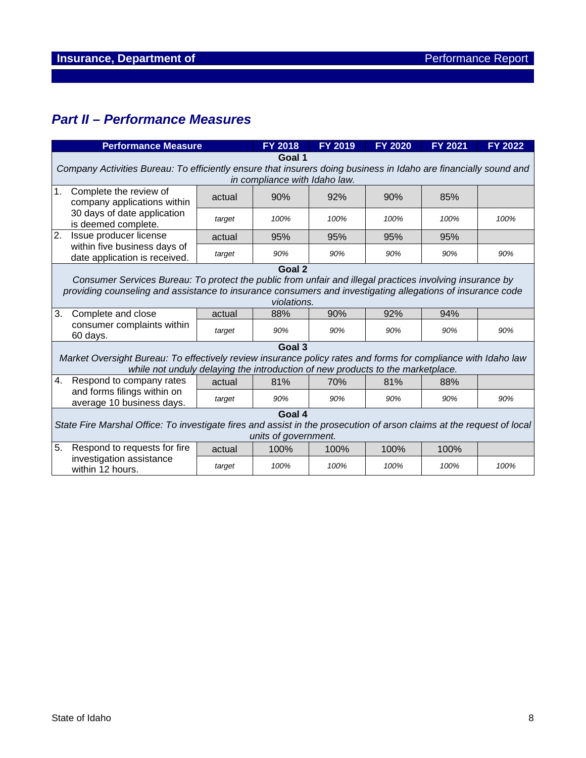# *Part II – Performance Measures*

| <b>Performance Measure</b>   |                                                                                                                                                                                                                                       | FY 2018 | <b>FY 2019</b> | <b>FY 2020</b> | <b>FY 2021</b> | <b>FY 2022</b> |      |  |
|------------------------------|---------------------------------------------------------------------------------------------------------------------------------------------------------------------------------------------------------------------------------------|---------|----------------|----------------|----------------|----------------|------|--|
|                              | Goal 1<br>Company Activities Bureau: To efficiently ensure that insurers doing business in Idaho are financially sound and<br>in compliance with Idaho law.                                                                           |         |                |                |                |                |      |  |
| 1.<br>Complete the review of | company applications within                                                                                                                                                                                                           | actual  | 90%            | 92%            | 90%            | 85%            |      |  |
|                              | 30 days of date application<br>is deemed complete.                                                                                                                                                                                    | target  | 100%           | 100%           | 100%           | 100%           | 100% |  |
| 2.                           | Issue producer license                                                                                                                                                                                                                | actual  | 95%            | 95%            | 95%            | 95%            |      |  |
|                              | within five business days of<br>date application is received.                                                                                                                                                                         | target  | 90%            | 90%            | 90%            | 90%            | 90%  |  |
|                              |                                                                                                                                                                                                                                       |         | Goal 2         |                |                |                |      |  |
|                              | Consumer Services Bureau: To protect the public from unfair and illegal practices involving insurance by<br>providing counseling and assistance to insurance consumers and investigating allegations of insurance code<br>violations. |         |                |                |                |                |      |  |
| 3.                           | Complete and close                                                                                                                                                                                                                    | actual  | 88%            | 90%            | 92%            | 94%            |      |  |
|                              | consumer complaints within<br>60 days.                                                                                                                                                                                                | target  | 90%            | 90%            | 90%            | 90%            | 90%  |  |
|                              |                                                                                                                                                                                                                                       |         | Goal 3         |                |                |                |      |  |
|                              | Market Oversight Bureau: To effectively review insurance policy rates and forms for compliance with Idaho law<br>while not unduly delaying the introduction of new products to the marketplace.                                       |         |                |                |                |                |      |  |
| 4.                           | Respond to company rates                                                                                                                                                                                                              | actual  | 81%            | 70%            | 81%            | 88%            |      |  |
|                              | and forms filings within on<br>average 10 business days.                                                                                                                                                                              | target  | 90%            | 90%            | 90%            | 90%            | 90%  |  |
|                              | Goal 4<br>State Fire Marshal Office: To investigate fires and assist in the prosecution of arson claims at the request of local<br>units of government.                                                                               |         |                |                |                |                |      |  |
| 5.                           | Respond to requests for fire                                                                                                                                                                                                          | actual  | 100%           | 100%           | 100%           | 100%           |      |  |
|                              | investigation assistance<br>within 12 hours.                                                                                                                                                                                          | target  | 100%           | 100%           | 100%           | 100%           | 100% |  |